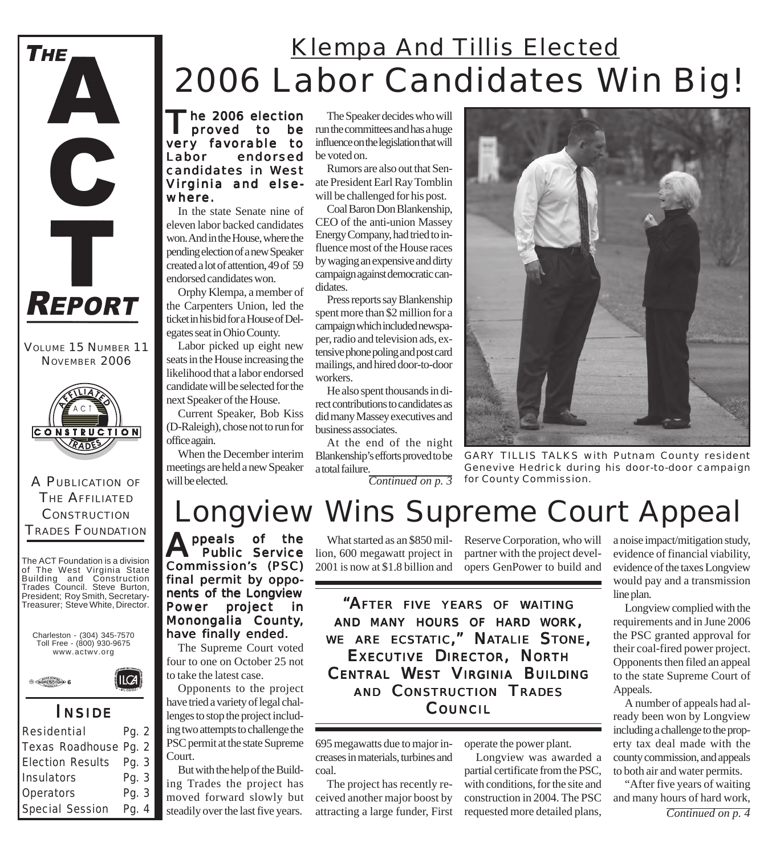

VOLUME 15 NUMBER 11 NOVEMBER 2006



A PUBLICATION OF THE AFFILIATED **CONSTRUCTION** TRADES FOUNDATION

The ACT Foundation is a division of The West Virginia State Building and Construction Trades Council. Steve Burton, President; Roy Smith, Secretary-Treasurer; Steve White, Director.





### *I NSIDE*

 $ICA$ 

| Residential            | Pg. $2$ |  |
|------------------------|---------|--|
| Texas Roadhouse Pg. 2  |         |  |
| Election Results Pq. 3 |         |  |
| Insulators             | Pg. 3   |  |
| Operators              | Pg. 3   |  |
| Special Session        | Pg. 4   |  |

## 2006 Labor Candidates Win Big! Klempa And Tillis Elected

The 2006 election<br>
proved to be muthe committees and has a huge<br>
proved to influence or the belief that will very favorable to Labor endorsed candidates in West Virginia and elsewhere.

In the state Senate nine of eleven labor backed candidates won. And in the House, where the pending election of a new Speaker created a lot of attention, 49 of 59 endorsed candidates won.

Orphy Klempa, a member of the Carpenters Union, led the ticket in his bid for a House of Delegates seat in Ohio County.

Labor picked up eight new seats in the House increasing the likelihood that a labor endorsed candidate will be selected for the next Speaker of the House.

Current Speaker, Bob Kiss (D-Raleigh), chose not to run for office again.

When the December interim meetings are held a new Speaker will be elected.

The Speaker decides who will influence on the legislation that will be voted on.

Rumors are also out that Senate President Earl Ray Tomblin will be challenged for his post.

Coal Baron Don Blankenship, CEO of the anti-union Massey Energy Company, had tried to influence most of the House races by waging an expensive and dirty campaign against democratic candidates.

Press reports say Blankenship spent more than \$2 million for a campaign which included newspaper, radio and television ads, extensive phone poling and post card mailings, and hired door-to-door workers.

He also spent thousands in direct contributions to candidates as did many Massey executives and business associates.

At the end of the night Blankenship's efforts proved to be a total failure. *Continued on p. 3*

*GARY TILLIS TALKS with Putnam County resident Genevive Hedrick during his door-to-door campaign for County Commission.*

# Longview Wins Supreme Court Appeal

**A** ppeals of the .<br>Public Service Commission's (PSC) final permit by opponents of the Longview Power project in Monongalia County, have finally ended.

The Supreme Court voted four to one on October 25 not to take the latest case.

Opponents to the project have tried a variety of legal challenges to stop the project including two attempts to challenge the PSC permit at the state Supreme Court.

But with the help of the Building Trades the project has moved forward slowly but steadily over the last five years.

lion, 600 megawatt project in 2001 is now at \$1.8 billion and

What started as an \$850 mil-Reserve Corporation, who will partner with the project developers GenPower to build and

*"AFTER FIVE YEARS OF WAITING AND MANY HOURS OF HARD WORK, WE ARE ECSTATIC," NATALIE STONE, EXECUTIVE DIRECTOR, NORTH CENTRAL WEST VIRGINIA BUILDING AND CONSTRUCTION TRADES COUNCIL*

695 megawatts due to major increases in materials, turbines and coal.

The project has recently received another major boost by attracting a large funder, First

Longview was awarded a partial certificate from the PSC, with conditions, for the site and construction in 2004. The PSC requested more detailed plans,

operate the power plant.

a noise impact/mitigation study, evidence of financial viability, evidence of the taxes Longview would pay and a transmission line plan.

Longview complied with the requirements and in June 2006 the PSC granted approval for their coal-fired power project. Opponents then filed an appeal to the state Supreme Court of Appeals.

A number of appeals had already been won by Longview including a challenge to the property tax deal made with the county commission, and appeals to both air and water permits.

"After five years of waiting and many hours of hard work,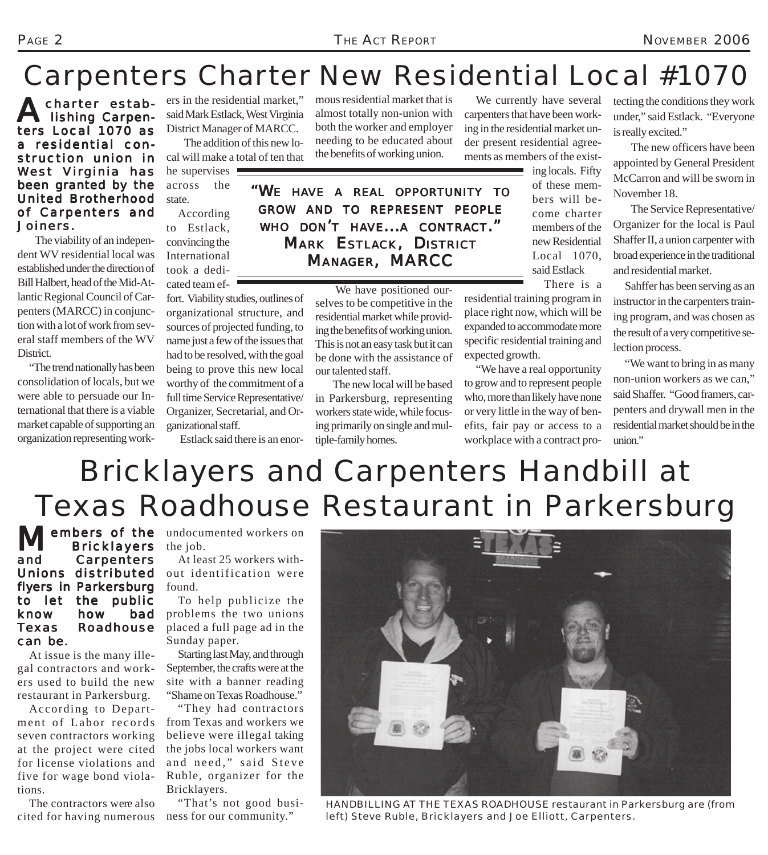## Carpenters Charter New Residential Local #1070

A charter estab-<br>lishing Carpenters Local 1070 as a residential construction union in West Virginia has been granted by the United Brotherhood of Carpenters and Joiners.

 The viability of an independent WV residential local was established under the direction of Bill Halbert, head of the Mid-Atlantic Regional Council of Carpenters (MARCC) in conjunction with a lot of work from several staff members of the WV District.

"The trend nationally has been consolidation of locals, but we were able to persuade our International that there is a viable market capable of supporting an organization representing workers in the residential market," said Mark Estlack, West Virginia District Manager of MARCC.

 The addition of this new local will make a total of ten that he supervises  $\blacksquare$ 

across the state.

According to Estlack, convincing the International took a dedicated team ef-

fort. Viability studies, outlines of organizational structure, and sources of projected funding, to name just a few of the issues that had to be resolved, with the goal being to prove this new local worthy of the commitment of a full time Service Representative/ Organizer, Secretarial, and Organizational staff.

Estlack said there is an enor-

mous residential market that is almost totally non-union with both the worker and employer needing to be educated about the benefits of working union.

 We have positioned ourselves to be competitive in the residential market while providing the benefits of working union. This is not an easy task but it can be done with the assistance of

 The new local will be based in Parkersburg, representing workers state wide, while focusing primarily on single and mul-

We currently have several carpenters that have been working in the residential market under present residential agreements as members of the exist-

> of these members will become charter members of the new Residential Local 1070, said Estlack

> > There is a

residential training program in place right now, which will be expanded to accommodate more specific residential training and expected growth.

"We have a real opportunity to grow and to represent people who, more than likely have none or very little in the way of benefits, fair pay or access to a workplace with a contract protecting the conditions they work under," said Estlack. "Everyone is really excited."

 The new officers have been appointed by General President McCarron and will be sworn in November 18.

 The Service Representative/ Organizer for the local is Paul Shaffer II, a union carpenter with broad experience in the traditional and residential market.

Sahffer has been serving as an instructor in the carpenters training program, and was chosen as the result of a very competitive selection process.

"We want to bring in as many non-union workers as we can," said Shaffer. "Good framers, carpenters and drywall men in the residential market should be in the union."

## Bricklayers and Carpenters Handbill at Texas Roadhouse Restaurant in Parkersburg

our talented staff.

tiple-family homes.

Members of the undocumented workers on<br>Bricklayers the job. **Bricklayers** and Carpenters Unions distributed flyers in Parkersburg to let the public know how bad Texas Roadhouse can be.

At issue is the many illegal contractors and workers used to build the new restaurant in Parkersburg.

According to Department of Labor records seven contractors working at the project were cited for license violations and five for wage bond violations.

The contractors were also cited for having numerous

the job.

At least 25 workers without identification were found.

To help publicize the problems the two unions placed a full page ad in the Sunday paper.

Starting last May, and through September, the crafts were at the site with a banner reading "Shame on Texas Roadhouse."

"They had contractors from Texas and workers we believe were illegal taking the jobs local workers want and need," said Steve Ruble, organizer for the Bricklayers.

"That's not good business for our community."

*HANDBILLING AT THE TEXAS ROADHOUSE restaurant in Parkersburg are (from left) Steve Ruble, Bricklayers and Joe Elliott, Carpenters.*

ing locals. Fifty

*"WE HAVE A REAL OPPORTUNITY TO GROW AND TO REPRESENT PEOPLE WHO DON'T HAVE...A CONTRACT." MARK ESTLACK, DISTRICT MANAGER, MARCC*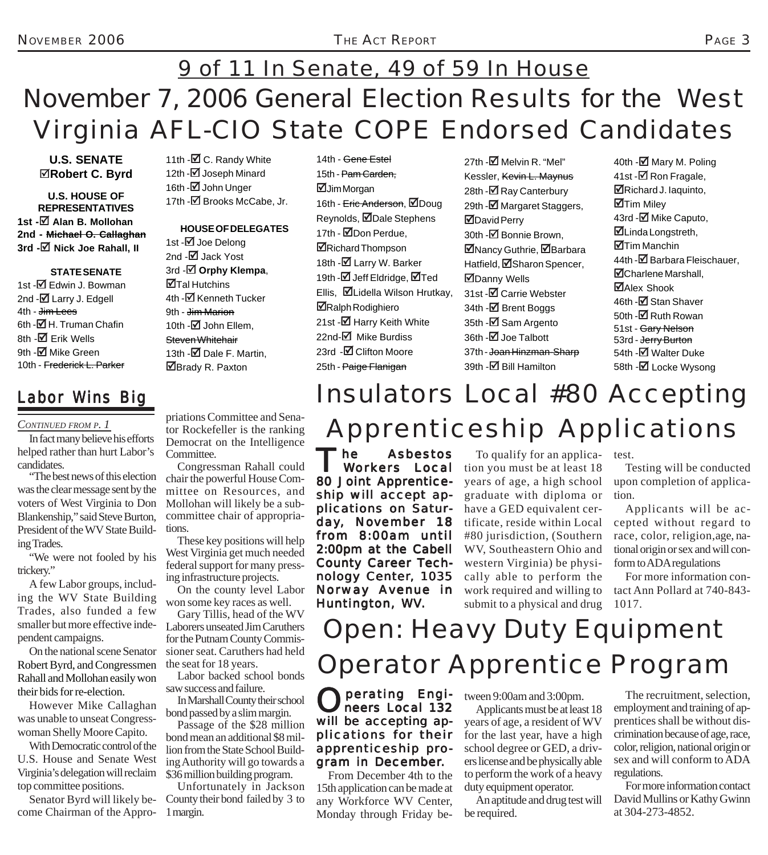## November 7, 2006 General Election Results for the West Virginia AFL-CIO State COPE Endorsed Candidates 9 of 11 In Senate, 49 of 59 In House

### **U.S. SENATE** 5**Robert C. Byrd**

**U.S. HOUSE OF REPRESENTATIVES 1st -⊠ Alan B. Mollohan 2nd - Michael O. Callaghan 3rd -**5 **Nick Joe Rahall, II**

#### **STATE SENATE**

1st -⊠ Edwin J. Bowman 2nd  $-\overline{0}$  Larry J. Edgell 4th - <del>Jim Lees</del> 6th - $\overline{\boxtimes}$  H. Truman Chafin 8th -**Ø** Erik Wells 9th - $\blacksquare$  Mike Green 10th - Frederick L. Parker

### *Labor Wins Big*

#### *CONTINUED FROM P. 1*

In fact many believe his efforts helped rather than hurt Labor's candidates.

"The best news of this election was the clear message sent by the voters of West Virginia to Don Blankenship," said Steve Burton, President of the WV State Building Trades.

"We were not fooled by his trickery."

A few Labor groups, including the WV State Building Trades, also funded a few smaller but more effective independent campaigns.

On the national scene Senator Robert Byrd, and Congressmen Rahall and Mollohan easily won their bids for re-election.

However Mike Callaghan was unable to unseat Congresswoman Shelly Moore Capito.

With Democratic control of the U.S. House and Senate West Virginia's delegation will reclaim top committee positions.

Senator Byrd will likely become Chairman of the Appro-1 margin.

11th -**⊠** C. Randy White 12th -**Ø** Joseph Minard 16th -**Ø** John Unger 17th - $\blacksquare$  Brooks McCabe, Jr.

#### **HOUSE OF DELEGATES**

1st -**⊠** Joe Delong 2nd -Ø Jack Yost 3rd -5 **Orphy Klempa**, **ØTal Hutchins** 4th -Ø Kenneth Tucker 9th - <del>Jim Marion</del> 10th  $-\nabla$  John Ellem, Steven Whitehair 13th  $-\sqrt{2}$  Dale F. Martin. ■Brady R. Paxton

priations Committee and Senator Rockefeller is the ranking Democrat on the Intelligence Committee.

Congressman Rahall could chair the powerful House Committee on Resources, and Mollohan will likely be a subcommittee chair of appropriations.

These key positions will help West Virginia get much needed federal support for many pressing infrastructure projects.

On the county level Labor won some key races as well.

Gary Tillis, head of the WV Laborers unseated Jim Caruthers for the Putnam County Commissioner seat. Caruthers had held the seat for 18 years.

Labor backed school bonds saw success and failure.

In Marshall County their school bond passed by a slim margin.

Passage of the \$28 million bond mean an additional \$8 million from the State School Building Authority will go towards a \$36 million building program.

Unfortunately in Jackson County their bond failed by 3 to

14th - Gene Estel 15th - Pam Carden, **ØJim Morgan** 16th - Eric Anderson, ØDoug Reynolds, ØDale Stephens 17th - ØDon Perdue, ■Richard Thompson 18th -**Ø** Larry W. Barker 19th -**Ø** Jeff Eldridge, ØTed Ellis, ØLidella Wilson Hrutkay, ■Ralph Rodighiero 21st -Ø Harry Keith White 22nd-Ø Mike Burdiss 23rd -**Ø** Clifton Moore 25th - Paige Flanigan

 $27th$  - $\Box$  Melvin R. "Mel" Kessler, Kevin L. Maynus 28th -**Ø** Ray Canterbury 29th -**Ø** Margaret Staggers, 5David Perry 30th -**Ø** Bonnie Brown, **ØNancy Guthrie, ØBarbara** Hatfield, ØSharon Spencer, ■Danny Wells 31st -Ø Carrie Webster 34th -**□** Brent Boggs 35th -**⊠** Sam Argento 36th -**Ø** Joe Talbott 37th - Joan Hinzman-Sharp 39th -**Ø** Bill Hamilton

40th -**⊠** Mary M. Poling 41st -**Ø** Ron Fragale, 5Richard J. Iaquinto, **ØTim Miley** 43rd -⊠ Mike Caputo, 5Linda Longstreth, 5Tim Manchin 44th -Ø Barbara Fleischauer. **M**Charlene Marshall, ■Alex Shook 46th -Ø Stan Shaver 50th -**M** Ruth Rowan 51st - Gary Nelson 53rd - <del>Jerry Burton</del> 54th -**Ø** Walter Duke 58th -**⊠** Locke Wysong

## Insulators Local #80 Accepting Apprenticeship Applications

The Asbestos<br>Workers Local 80 Joint Apprenticeship will accept applications on Saturday, November 18 from 8:00am until from 8:00am 2:00pm at the Cabell County Career Technology Center, 1035 Norway Avenue in Huntington, WV.

To qualify for an applica-test. tion you must be at least 18 years of age, a high school graduate with diploma or have a GED equivalent certificate, reside within Local #80 jurisdiction, (Southern WV, Southeastern Ohio and western Virginia) be physically able to perform the work required and willing to submit to a physical and drug

Testing will be conducted upon completion of application.

Applicants will be accepted without regard to race, color, religion,age, national origin or sex and will conform to ADA regulations

For more information contact Ann Pollard at 740-843- 1017.

### Open: Heavy Duty Equipment Operator Apprentice Program

**Operating Engi**neers Local 132 will be accepting applications for their apprenticeship program in December.

From December 4th to the 15th application can be made at any Workforce WV Center, Monday through Friday between 9:00am and 3:00pm.

Applicants must be at least 18 years of age, a resident of WV for the last year, have a high school degree or GED, a drivers license and be physically able to perform the work of a heavy duty equipment operator.

An aptitude and drug test will be required.

The recruitment, selection, employment and training of apprentices shall be without discrimination because of age, race, color, religion, national origin or sex and will conform to ADA regulations.

For more information contact David Mullins or Kathy Gwinn at 304-273-4852.